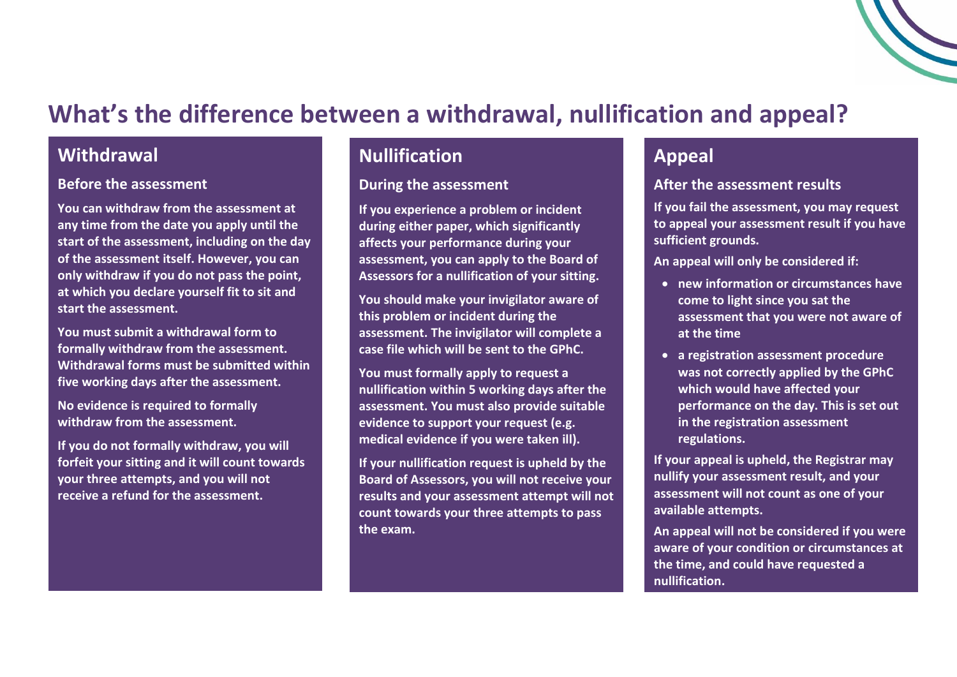# **What's the difference between a withdrawal, nullification and appeal?**

### **Withdrawal**

#### **Before the assessment**

**You can withdraw from the assessment at any time from the date you apply until the start of the assessment, including on the day of the assessment itself. However, you can only withdraw if you do not pass the point, at which you declare yourself fit to sit and start the assessment.** 

**You must submit a withdrawal form to formally withdraw from the assessment. Withdrawal forms must be submitted within five working days after the assessment.** 

**No evidence is required to formally withdraw from the assessment.** 

**If you do not formally withdraw, you will forfeit your sitting and it will count towards your three attempts, and you will not receive a refund for the assessment.** 

## **Nullification**

#### **During the assessment**

**If you experience a problem or incident during either paper, which significantly affects your performance during your assessment, you can apply to the Board of Assessors for a nullification of your sitting.**

**You should make your invigilator aware of this problem or incident during the assessment. The invigilator will complete a case file which will be sent to the GPhC.** 

**You must formally apply to request a nullification within 5 working days after the assessment. You must also provide suitable evidence to support your request (e.g. medical evidence if you were taken ill).**

**If your nullification request is upheld by the Board of Assessors, you will not receive your results and your assessment attempt will not count towards your three attempts to pass the exam.**

## **Appeal**

#### **After the assessment results**

**If you fail the assessment, you may request to appeal your assessment result if you have sufficient grounds.** 

**An appeal will only be considered if:** 

- **new information or circumstances have come to light since you sat the assessment that you were not aware of at the time**
- **a registration assessment procedure was not correctly applied by the GPhC which would have affected your performance on the day. This is set out in the registration assessment regulations.**

**If your appeal is upheld, the Registrar may nullify your assessment result, and your assessment will not count as one of your available attempts.**

**An appeal will not be considered if you were aware of your condition or circumstances at the time, and could have requested a nullification.**